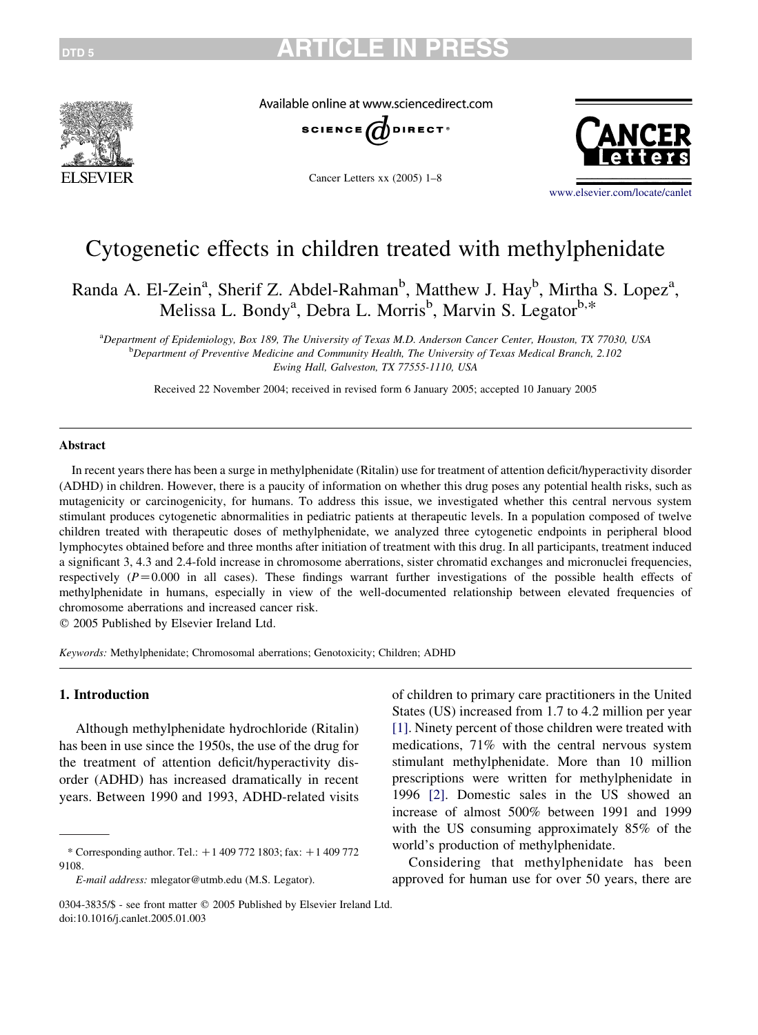

Available online at www.sciencedirect.com



Cancer Letters xx (2005) 1–8



www.elsevier.com/locate/canle

### Cytogenetic effects in children treated with methylphenidate

Randa A. El-Zein<sup>a</sup>, Sherif Z. Abdel-Rahman<sup>b</sup>, Matthew J. Hay<sup>b</sup>, Mirtha S. Lopez<sup>a</sup>, Melissa L. Bondy<sup>a</sup>, Debra L. Morris<sup>b</sup>, Marvin S. Legator<sup>b,\*</sup>

a Department of Epidemiology, Box 189, The University of Texas M.D. Anderson Cancer Center, Houston, TX 77030, USA **b** Department of Preventive Medicine and Community Health, The University of Texas Medical Branch, 2.102 Ewing Hall, Galveston, TX 77555-1110, USA

Received 22 November 2004; received in revised form 6 January 2005; accepted 10 January 2005

#### Abstract

In recent years there has been a surge in methylphenidate (Ritalin) use for treatment of attention deficit/hyperactivity disorder (ADHD) in children. However, there is a paucity of information on whether this drug poses any potential health risks, such as mutagenicity or carcinogenicity, for humans. To address this issue, we investigated whether this central nervous system stimulant produces cytogenetic abnormalities in pediatric patients at therapeutic levels. In a population composed of twelve children treated with therapeutic doses of methylphenidate, we analyzed three cytogenetic endpoints in peripheral blood lymphocytes obtained before and three months after initiation of treatment with this drug. In all participants, treatment induced a significant 3, 4.3 and 2.4-fold increase in chromosome aberrations, sister chromatid exchanges and micronuclei frequencies, respectively ( $P=0.000$  in all cases). These findings warrant further investigations of the possible health effects of methylphenidate in humans, especially in view of the well-documented relationship between elevated frequencies of chromosome aberrations and increased cancer risk.

 $Q$  2005 Published by Elsevier Ireland Ltd.

Keywords: Methylphenidate; Chromosomal aberrations; Genotoxicity; Children; ADHD

### 1. Introduction

Although methylphenidate hydrochloride (Ritalin) has been in use since the 1950s, the use of the drug for the treatment of attention deficit/hyperactivity disorder (ADHD) has increased dramatically in recent years. Between 1990 and 1993, ADHD-related visits

of children to primary care practitioners in the United States (US) increased from 1.7 to 4.2 million per year [\[1\]](#page-6-0). Ninety percent of those children were treated with medications, 71% with the central nervous system stimulant methylphenidate. More than 10 million prescriptions were written for methylphenidate in 1996 [\[2\].](#page-6-0) Domestic sales in the US showed an increase of almost 500% between 1991 and 1999 with the US consuming approximately 85% of the world's production of methylphenidate.

Considering that methylphenidate has been approved for human use for over 50 years, there are

<sup>\*</sup> Corresponding author. Tel.:  $+14097721803$ ; fax:  $+1409772$ 9108.

E-mail address: mlegator@utmb.edu (M.S. Legator).

<sup>0304-3835/\$ -</sup> see front matter © 2005 Published by Elsevier Ireland Ltd. doi:10.1016/j.canlet.2005.01.003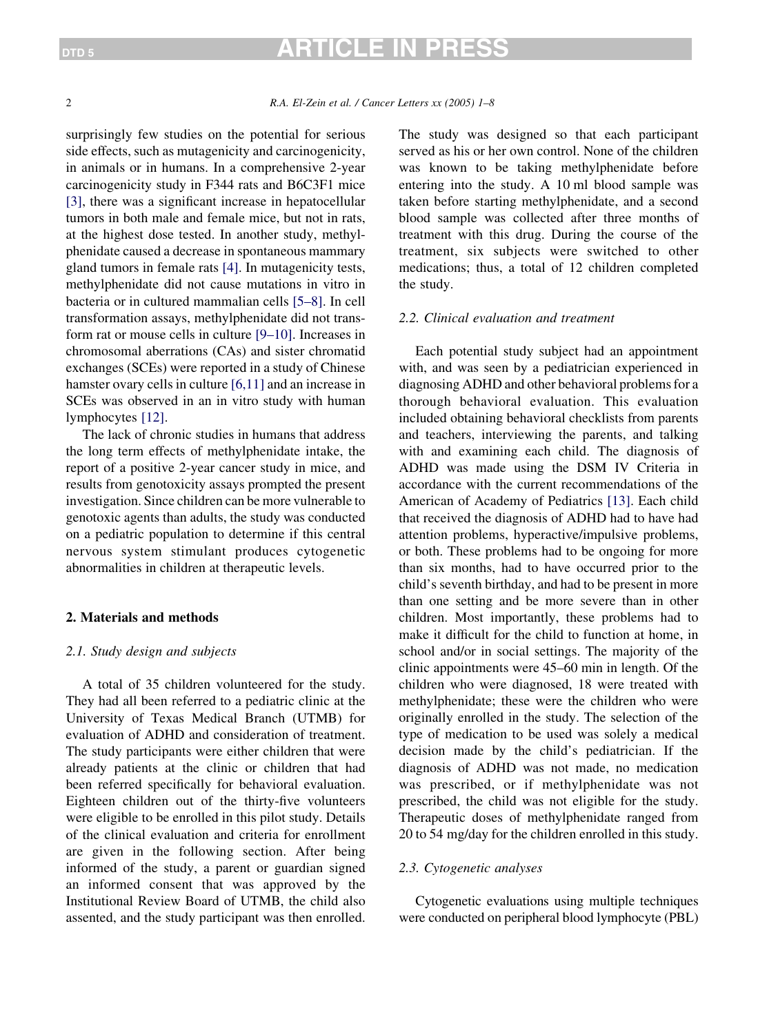surprisingly few studies on the potential for serious side effects, such as mutagenicity and carcinogenicity, in animals or in humans. In a comprehensive 2-year carcinogenicity study in F344 rats and B6C3F1 mice [\[3\],](#page-6-0) there was a significant increase in hepatocellular tumors in both male and female mice, but not in rats, at the highest dose tested. In another study, methylphenidate caused a decrease in spontaneous mammary gland tumors in female rats [\[4\]](#page-6-0). In mutagenicity tests, methylphenidate did not cause mutations in vitro in bacteria or in cultured mammalian cells [\[5–8\].](#page-6-0) In cell transformation assays, methylphenidate did not transform rat or mouse cells in culture [\[9–10\].](#page-6-0) Increases in chromosomal aberrations (CAs) and sister chromatid exchanges (SCEs) were reported in a study of Chinese hamster ovary cells in culture [\[6,11\]](#page-6-0) and an increase in SCEs was observed in an in vitro study with human lymphocytes [\[12\]](#page-6-0).

The lack of chronic studies in humans that address the long term effects of methylphenidate intake, the report of a positive 2-year cancer study in mice, and results from genotoxicity assays prompted the present investigation. Since children can be more vulnerable to genotoxic agents than adults, the study was conducted on a pediatric population to determine if this central nervous system stimulant produces cytogenetic abnormalities in children at therapeutic levels.

### 2. Materials and methods

#### 2.1. Study design and subjects

A total of 35 children volunteered for the study. They had all been referred to a pediatric clinic at the University of Texas Medical Branch (UTMB) for evaluation of ADHD and consideration of treatment. The study participants were either children that were already patients at the clinic or children that had been referred specifically for behavioral evaluation. Eighteen children out of the thirty-five volunteers were eligible to be enrolled in this pilot study. Details of the clinical evaluation and criteria for enrollment are given in the following section. After being informed of the study, a parent or guardian signed an informed consent that was approved by the Institutional Review Board of UTMB, the child also assented, and the study participant was then enrolled. The study was designed so that each participant served as his or her own control. None of the children was known to be taking methylphenidate before entering into the study. A 10 ml blood sample was taken before starting methylphenidate, and a second blood sample was collected after three months of treatment with this drug. During the course of the treatment, six subjects were switched to other medications; thus, a total of 12 children completed the study.

#### 2.2. Clinical evaluation and treatment

Each potential study subject had an appointment with, and was seen by a pediatrician experienced in diagnosing ADHD and other behavioral problems for a thorough behavioral evaluation. This evaluation included obtaining behavioral checklists from parents and teachers, interviewing the parents, and talking with and examining each child. The diagnosis of ADHD was made using the DSM IV Criteria in accordance with the current recommendations of the American of Academy of Pediatrics [\[13\].](#page-7-0) Each child that received the diagnosis of ADHD had to have had attention problems, hyperactive/impulsive problems, or both. These problems had to be ongoing for more than six months, had to have occurred prior to the child's seventh birthday, and had to be present in more than one setting and be more severe than in other children. Most importantly, these problems had to make it difficult for the child to function at home, in school and/or in social settings. The majority of the clinic appointments were 45–60 min in length. Of the children who were diagnosed, 18 were treated with methylphenidate; these were the children who were originally enrolled in the study. The selection of the type of medication to be used was solely a medical decision made by the child's pediatrician. If the diagnosis of ADHD was not made, no medication was prescribed, or if methylphenidate was not prescribed, the child was not eligible for the study. Therapeutic doses of methylphenidate ranged from 20 to 54 mg/day for the children enrolled in this study.

### 2.3. Cytogenetic analyses

Cytogenetic evaluations using multiple techniques were conducted on peripheral blood lymphocyte (PBL)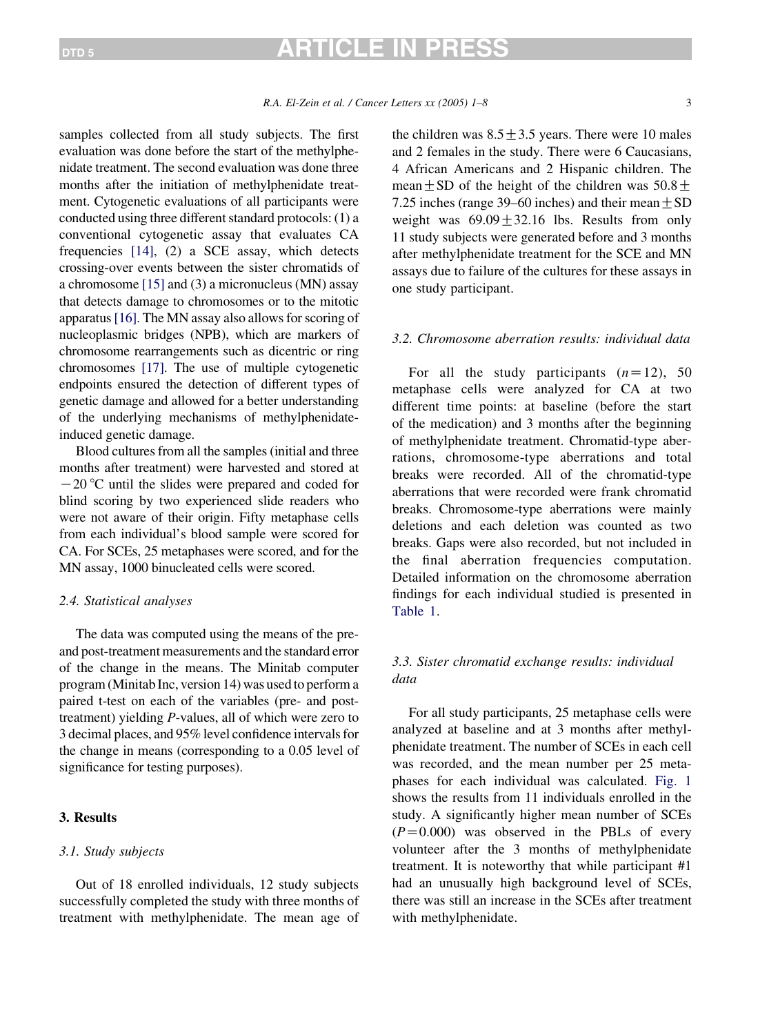samples collected from all study subjects. The first evaluation was done before the start of the methylphenidate treatment. The second evaluation was done three months after the initiation of methylphenidate treatment. Cytogenetic evaluations of all participants were conducted using three different standard protocols: (1) a conventional cytogenetic assay that evaluates CA frequencies [\[14\]](#page-7-0), (2) a SCE assay, which detects crossing-over events between the sister chromatids of a chromosome [\[15\]](#page-7-0) and (3) a micronucleus (MN) assay that detects damage to chromosomes or to the mitotic apparatus[\[16\]](#page-7-0). The MN assay also allows for scoring of nucleoplasmic bridges (NPB), which are markers of chromosome rearrangements such as dicentric or ring chromosomes [\[17\].](#page-7-0) The use of multiple cytogenetic endpoints ensured the detection of different types of genetic damage and allowed for a better understanding of the underlying mechanisms of methylphenidateinduced genetic damage.

Blood cultures from all the samples (initial and three months after treatment) were harvested and stored at  $-20$  °C until the slides were prepared and coded for blind scoring by two experienced slide readers who were not aware of their origin. Fifty metaphase cells from each individual's blood sample were scored for CA. For SCEs, 25 metaphases were scored, and for the MN assay, 1000 binucleated cells were scored.

#### 2.4. Statistical analyses

The data was computed using the means of the preand post-treatment measurements and the standard error of the change in the means. The Minitab computer program (Minitab Inc, version 14) was used to perform a paired t-test on each of the variables (pre- and posttreatment) yielding P-values, all of which were zero to 3 decimal places, and 95% level confidence intervals for the change in means (corresponding to a 0.05 level of significance for testing purposes).

### 3. Results

#### 3.1. Study subjects

Out of 18 enrolled individuals, 12 study subjects successfully completed the study with three months of treatment with methylphenidate. The mean age of the children was  $8.5 \pm 3.5$  years. There were 10 males and 2 females in the study. There were 6 Caucasians, 4 African Americans and 2 Hispanic children. The mean  $\pm$  SD of the height of the children was 50.8 $\pm$ 7.25 inches (range 39–60 inches) and their mean  $\pm$  SD weight was  $69.09 \pm 32.16$  lbs. Results from only 11 study subjects were generated before and 3 months after methylphenidate treatment for the SCE and MN assays due to failure of the cultures for these assays in one study participant.

#### 3.2. Chromosome aberration results: individual data

For all the study participants  $(n=12)$ , 50 metaphase cells were analyzed for CA at two different time points: at baseline (before the start of the medication) and 3 months after the beginning of methylphenidate treatment. Chromatid-type aberrations, chromosome-type aberrations and total breaks were recorded. All of the chromatid-type aberrations that were recorded were frank chromatid breaks. Chromosome-type aberrations were mainly deletions and each deletion was counted as two breaks. Gaps were also recorded, but not included in the final aberration frequencies computation. Detailed information on the chromosome aberration findings for each individual studied is presented in [Table 1](#page-3-0).

### 3.3. Sister chromatid exchange results: individual data

For all study participants, 25 metaphase cells were analyzed at baseline and at 3 months after methylphenidate treatment. The number of SCEs in each cell was recorded, and the mean number per 25 metaphases for each individual was calculated. [Fig. 1](#page-4-0) shows the results from 11 individuals enrolled in the study. A significantly higher mean number of SCEs  $(P=0.000)$  was observed in the PBLs of every volunteer after the 3 months of methylphenidate treatment. It is noteworthy that while participant #1 had an unusually high background level of SCEs, there was still an increase in the SCEs after treatment with methylphenidate.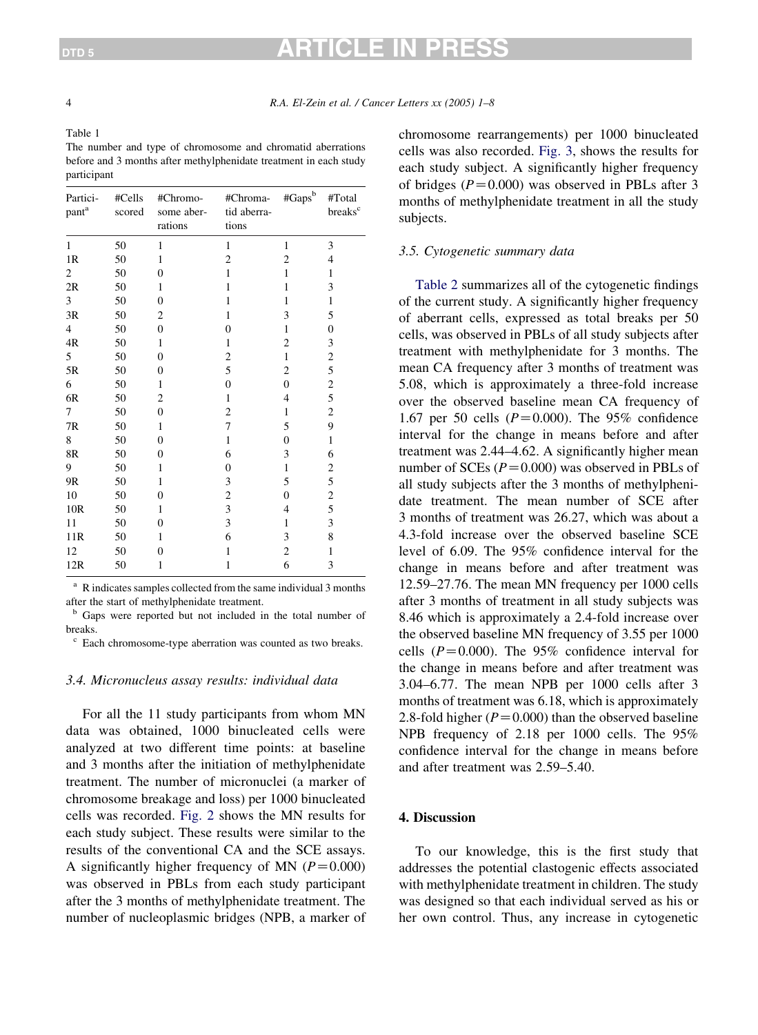<span id="page-3-0"></span>4 R.A. El-Zein et al. / Cancer Letters xx (2005) 1–8

Table 1

The number and type of chromosome and chromatid aberrations before and 3 months after methylphenidate treatment in each study participant

| Partici-<br>$\mathsf{pant}^\mathsf{a}$ | #Cells<br>scored | #Chromo-<br>some aber-<br>rations | #Chroma-<br>tid aberra-<br>tions | #Gaps <sup>b</sup> | #Total<br>breaks <sup>c</sup> |
|----------------------------------------|------------------|-----------------------------------|----------------------------------|--------------------|-------------------------------|
| $\mathbf{1}$                           | 50               | $\mathbf{1}$                      | $\mathbf{1}$                     | $\mathbf{1}$       | 3                             |
| 1R                                     | 50               | $\mathbf{1}$                      | $\overline{c}$                   | $\overline{2}$     | $\overline{4}$                |
| $\mathfrak{2}$                         | 50               | $\theta$                          | $\mathbf{1}$                     | 1                  | 1                             |
| 2R                                     | 50               | 1                                 | $\mathbf{1}$                     | 1                  | 3                             |
| 3                                      | 50               | $\overline{0}$                    | $\mathbf{1}$                     | $\mathbf{1}$       | $\mathbf{1}$                  |
| 3R                                     | 50               | $\overline{c}$                    | $\mathbf{1}$                     | 3                  | 5                             |
| $\overline{4}$                         | 50               | $\overline{0}$                    | $\theta$                         | 1                  | $\overline{0}$                |
| 4R                                     | 50               | 1                                 | $\mathbf{1}$                     | $\boldsymbol{2}$   | 3                             |
| 5                                      | 50               | $\overline{0}$                    | $\overline{c}$                   | $\mathbf{1}$       | $\mathfrak{2}$                |
| 5R                                     | 50               | $\overline{0}$                    | 5                                | $\overline{2}$     | 5                             |
| 6                                      | 50               | 1                                 | $\overline{0}$                   | $\theta$           | $\overline{c}$                |
| 6R                                     | 50               | $\overline{c}$                    | $\mathbf{1}$                     | $\overline{4}$     | 5                             |
| 7                                      | 50               | $\mathbf{0}$                      | 2                                | 1                  | $\mathfrak{2}$                |
| 7R                                     | 50               | 1                                 | 7                                | 5                  | 9                             |
| 8                                      | 50               | $\theta$                          | $\mathbf{1}$                     | $\Omega$           | $\mathbf{1}$                  |
| 8R                                     | 50               | $\overline{0}$                    | 6                                | 3                  | 6                             |
| 9                                      | 50               | $\mathbf{1}$                      | $\overline{0}$                   | $\mathbf{1}$       | $\mathbf{2}$                  |
| 9R                                     | 50               | 1                                 | 3                                | 5                  | 5                             |
| 10                                     | 50               | $\overline{0}$                    | $\overline{\mathbf{c}}$          | $\overline{0}$     | $\overline{\mathbf{c}}$       |
| 10R                                    | 50               | 1                                 | 3                                | $\overline{4}$     | 5                             |
| 11                                     | 50               | $\theta$                          | 3                                | 1                  | 3                             |
| 11R                                    | 50               | 1                                 | 6                                | 3                  | 8                             |
| 12                                     | 50               | $\overline{0}$                    | $\mathbf{1}$                     | $\boldsymbol{2}$   | $\mathbf{1}$                  |
| 12R                                    | 50               | $\mathbf{1}$                      | $\mathbf{1}$                     | 6                  | 3                             |

<sup>a</sup> R indicates samples collected from the same individual 3 months after the start of methylphenidate treatment.

Gaps were reported but not included in the total number of breaks.

Each chromosome-type aberration was counted as two breaks.

#### 3.4. Micronucleus assay results: individual data

For all the 11 study participants from whom MN data was obtained, 1000 binucleated cells were analyzed at two different time points: at baseline and 3 months after the initiation of methylphenidate treatment. The number of micronuclei (a marker of chromosome breakage and loss) per 1000 binucleated cells was recorded. [Fig. 2](#page-4-0) shows the MN results for each study subject. These results were similar to the results of the conventional CA and the SCE assays. A significantly higher frequency of MN  $(P=0.000)$ was observed in PBLs from each study participant after the 3 months of methylphenidate treatment. The number of nucleoplasmic bridges (NPB, a marker of chromosome rearrangements) per 1000 binucleated cells was also recorded. [Fig. 3](#page-5-0), shows the results for each study subject. A significantly higher frequency of bridges ( $P = 0.000$ ) was observed in PBLs after 3 months of methylphenidate treatment in all the study subjects.

#### 3.5. Cytogenetic summary data

[Table 2](#page-5-0) summarizes all of the cytogenetic findings of the current study. A significantly higher frequency of aberrant cells, expressed as total breaks per 50 cells, was observed in PBLs of all study subjects after treatment with methylphenidate for 3 months. The mean CA frequency after 3 months of treatment was 5.08, which is approximately a three-fold increase over the observed baseline mean CA frequency of 1.67 per 50 cells ( $P = 0.000$ ). The 95% confidence interval for the change in means before and after treatment was 2.44–4.62. A significantly higher mean number of SCEs ( $P = 0.000$ ) was observed in PBLs of all study subjects after the 3 months of methylphenidate treatment. The mean number of SCE after 3 months of treatment was 26.27, which was about a 4.3-fold increase over the observed baseline SCE level of 6.09. The 95% confidence interval for the change in means before and after treatment was 12.59–27.76. The mean MN frequency per 1000 cells after 3 months of treatment in all study subjects was 8.46 which is approximately a 2.4-fold increase over the observed baseline MN frequency of 3.55 per 1000 cells ( $P=0.000$ ). The 95% confidence interval for the change in means before and after treatment was 3.04–6.77. The mean NPB per 1000 cells after 3 months of treatment was 6.18, which is approximately 2.8-fold higher ( $P=0.000$ ) than the observed baseline NPB frequency of 2.18 per 1000 cells. The 95% confidence interval for the change in means before and after treatment was 2.59–5.40.

### 4. Discussion

To our knowledge, this is the first study that addresses the potential clastogenic effects associated with methylphenidate treatment in children. The study was designed so that each individual served as his or her own control. Thus, any increase in cytogenetic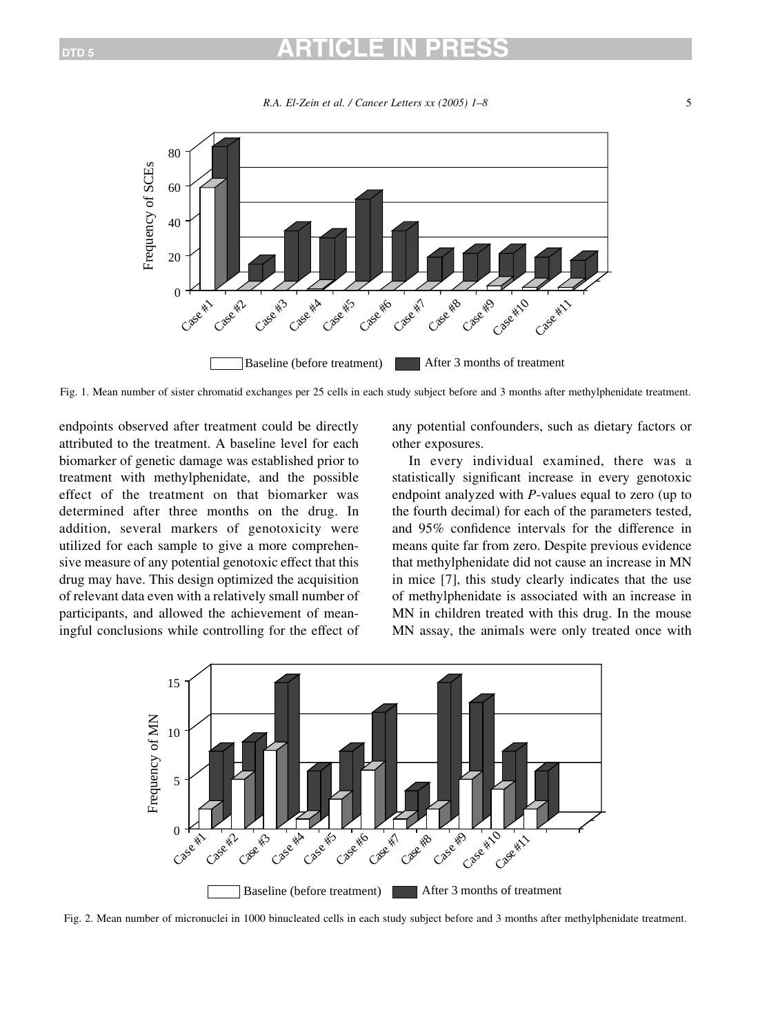R.A. El-Zein et al. / Cancer Letters  $xx$  (2005)  $1-8$  5

<span id="page-4-0"></span>

Fig. 1. Mean number of sister chromatid exchanges per 25 cells in each study subject before and 3 months after methylphenidate treatment.

endpoints observed after treatment could be directly attributed to the treatment. A baseline level for each biomarker of genetic damage was established prior to treatment with methylphenidate, and the possible effect of the treatment on that biomarker was determined after three months on the drug. In addition, several markers of genotoxicity were utilized for each sample to give a more comprehensive measure of any potential genotoxic effect that this drug may have. This design optimized the acquisition of relevant data even with a relatively small number of participants, and allowed the achievement of meaningful conclusions while controlling for the effect of

any potential confounders, such as dietary factors or other exposures.

In every individual examined, there was a statistically significant increase in every genotoxic endpoint analyzed with P-values equal to zero (up to the fourth decimal) for each of the parameters tested, and 95% confidence intervals for the difference in means quite far from zero. Despite previous evidence that methylphenidate did not cause an increase in MN in mice [\[7\]](#page-6-0), this study clearly indicates that the use of methylphenidate is associated with an increase in MN in children treated with this drug. In the mouse MN assay, the animals were only treated once with



Fig. 2. Mean number of micronuclei in 1000 binucleated cells in each study subject before and 3 months after methylphenidate treatment.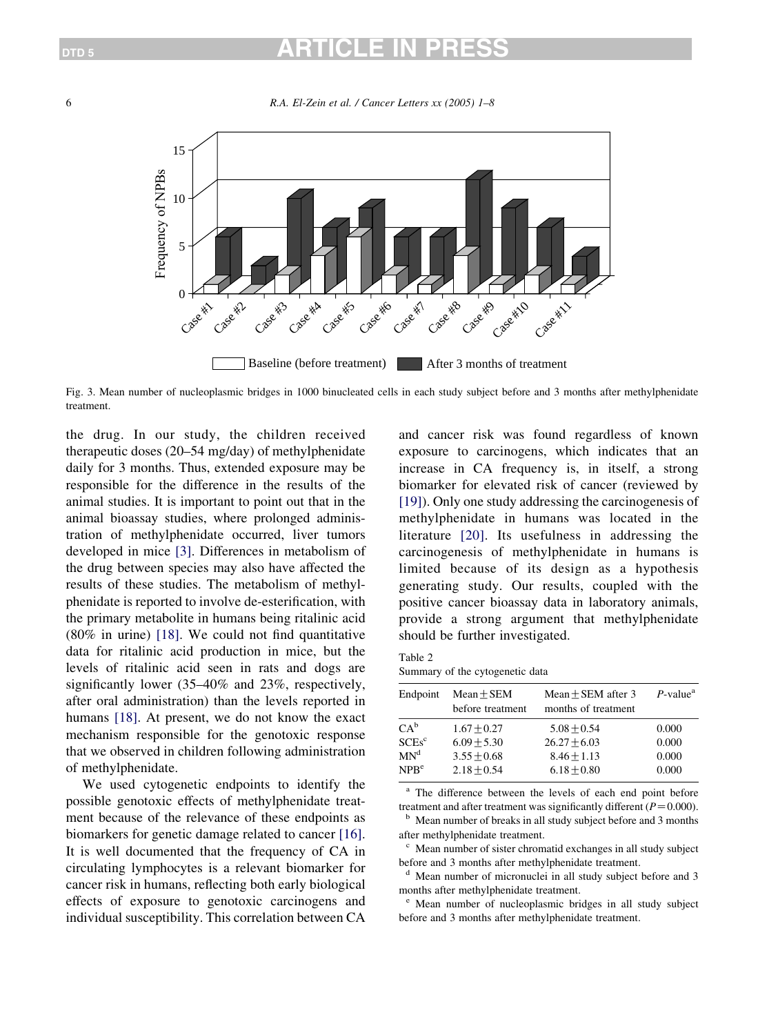<span id="page-5-0"></span>6 R.A. El-Zein et al. / Cancer Letters xx (2005) 1–8



Fig. 3. Mean number of nucleoplasmic bridges in 1000 binucleated cells in each study subject before and 3 months after methylphenidate treatment.

the drug. In our study, the children received therapeutic doses (20–54 mg/day) of methylphenidate daily for 3 months. Thus, extended exposure may be responsible for the difference in the results of the animal studies. It is important to point out that in the animal bioassay studies, where prolonged administration of methylphenidate occurred, liver tumors developed in mice [\[3\].](#page-6-0) Differences in metabolism of the drug between species may also have affected the results of these studies. The metabolism of methylphenidate is reported to involve de-esterification, with the primary metabolite in humans being ritalinic acid (80% in urine) [\[18\].](#page-7-0) We could not find quantitative data for ritalinic acid production in mice, but the levels of ritalinic acid seen in rats and dogs are significantly lower (35–40% and 23%, respectively, after oral administration) than the levels reported in humans [\[18\].](#page-7-0) At present, we do not know the exact mechanism responsible for the genotoxic response that we observed in children following administration of methylphenidate.

We used cytogenetic endpoints to identify the possible genotoxic effects of methylphenidate treatment because of the relevance of these endpoints as biomarkers for genetic damage related to cancer [\[16\]](#page-7-0). It is well documented that the frequency of CA in circulating lymphocytes is a relevant biomarker for cancer risk in humans, reflecting both early biological effects of exposure to genotoxic carcinogens and individual susceptibility. This correlation between CA and cancer risk was found regardless of known exposure to carcinogens, which indicates that an increase in CA frequency is, in itself, a strong biomarker for elevated risk of cancer (reviewed by [\[19\]](#page-7-0)). Only one study addressing the carcinogenesis of methylphenidate in humans was located in the literature [\[20\]](#page-7-0). Its usefulness in addressing the carcinogenesis of methylphenidate in humans is limited because of its design as a hypothesis generating study. Our results, coupled with the positive cancer bioassay data in laboratory animals, provide a strong argument that methylphenidate should be further investigated.

Table 2 Summary of the cytogenetic data

| Endpoint          | $Mean + SEM$<br>before treatment | Mean $+$ SEM after 3<br>months of treatment | $P$ -value <sup>a</sup> |
|-------------------|----------------------------------|---------------------------------------------|-------------------------|
| $CA^b$            | $1.67 + 0.27$                    | $5.08 + 0.54$                               | 0.000                   |
| SCEs <sup>c</sup> | $6.09 + 5.30$                    | $26.27 + 6.03$                              | 0.000                   |
| MN <sup>d</sup>   | $3.55 + 0.68$                    | $8.46 + 1.13$                               | 0.000                   |
| NPR <sup>e</sup>  | $2.18 + 0.54$                    | $6.18 + 0.80$                               | 0.000                   |

<sup>a</sup> The difference between the levels of each end point before treatment and after treatment was significantly different  $(P=0.000)$ .

<sup>b</sup> Mean number of breaks in all study subject before and 3 months after methylphenidate treatment.

Mean number of sister chromatid exchanges in all study subject before and 3 months after methylphenidate treatment.

<sup>d</sup> Mean number of micronuclei in all study subject before and 3 months after methylphenidate treatment.

Mean number of nucleoplasmic bridges in all study subject before and 3 months after methylphenidate treatment.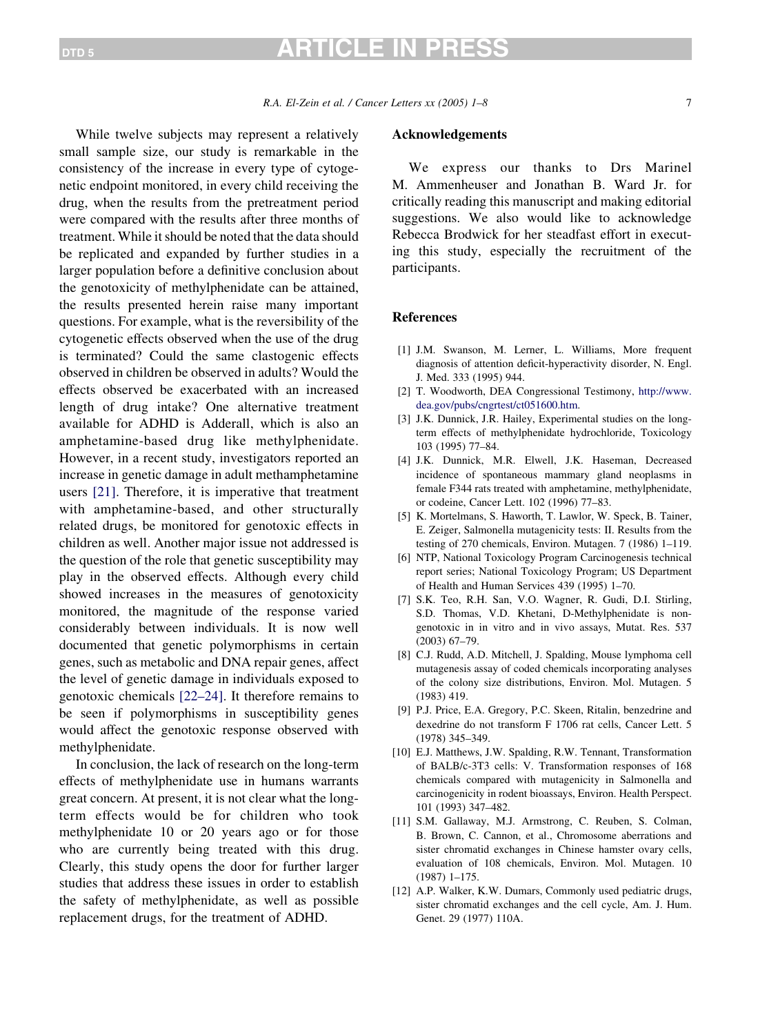<span id="page-6-0"></span>While twelve subjects may represent a relatively small sample size, our study is remarkable in the consistency of the increase in every type of cytogenetic endpoint monitored, in every child receiving the drug, when the results from the pretreatment period were compared with the results after three months of treatment. While it should be noted that the data should be replicated and expanded by further studies in a larger population before a definitive conclusion about the genotoxicity of methylphenidate can be attained, the results presented herein raise many important questions. For example, what is the reversibility of the cytogenetic effects observed when the use of the drug is terminated? Could the same clastogenic effects observed in children be observed in adults? Would the effects observed be exacerbated with an increased length of drug intake? One alternative treatment available for ADHD is Adderall, which is also an amphetamine-based drug like methylphenidate. However, in a recent study, investigators reported an increase in genetic damage in adult methamphetamine users [\[21\]](#page-7-0). Therefore, it is imperative that treatment with amphetamine-based, and other structurally related drugs, be monitored for genotoxic effects in children as well. Another major issue not addressed is the question of the role that genetic susceptibility may play in the observed effects. Although every child showed increases in the measures of genotoxicity monitored, the magnitude of the response varied considerably between individuals. It is now well documented that genetic polymorphisms in certain genes, such as metabolic and DNA repair genes, affect the level of genetic damage in individuals exposed to genotoxic chemicals [\[22–24\]](#page-7-0). It therefore remains to be seen if polymorphisms in susceptibility genes would affect the genotoxic response observed with methylphenidate.

In conclusion, the lack of research on the long-term effects of methylphenidate use in humans warrants great concern. At present, it is not clear what the longterm effects would be for children who took methylphenidate 10 or 20 years ago or for those who are currently being treated with this drug. Clearly, this study opens the door for further larger studies that address these issues in order to establish the safety of methylphenidate, as well as possible replacement drugs, for the treatment of ADHD.

#### Acknowledgements

We express our thanks to Drs Marinel M. Ammenheuser and Jonathan B. Ward Jr. for critically reading this manuscript and making editorial suggestions. We also would like to acknowledge Rebecca Brodwick for her steadfast effort in executing this study, especially the recruitment of the participants.

#### References

- [1] J.M. Swanson, M. Lerner, L. Williams, More frequent diagnosis of attention deficit-hyperactivity disorder, N. Engl. J. Med. 333 (1995) 944.
- [2] T. Woodworth, DEA Congressional Testimony, [http://www.](http://www.dea.gov/pubs/cngrtest/ct051600.htm) [dea.gov/pubs/cngrtest/ct051600.htm.](http://www.dea.gov/pubs/cngrtest/ct051600.htm)
- [3] J.K. Dunnick, J.R. Hailey, Experimental studies on the longterm effects of methylphenidate hydrochloride, Toxicology 103 (1995) 77–84.
- [4] J.K. Dunnick, M.R. Elwell, J.K. Haseman, Decreased incidence of spontaneous mammary gland neoplasms in female F344 rats treated with amphetamine, methylphenidate, or codeine, Cancer Lett. 102 (1996) 77–83.
- [5] K. Mortelmans, S. Haworth, T. Lawlor, W. Speck, B. Tainer, E. Zeiger, Salmonella mutagenicity tests: II. Results from the testing of 270 chemicals, Environ. Mutagen. 7 (1986) 1–119.
- [6] NTP, National Toxicology Program Carcinogenesis technical report series; National Toxicology Program; US Department of Health and Human Services 439 (1995) 1–70.
- [7] S.K. Teo, R.H. San, V.O. Wagner, R. Gudi, D.I. Stirling, S.D. Thomas, V.D. Khetani, D-Methylphenidate is nongenotoxic in in vitro and in vivo assays, Mutat. Res. 537 (2003) 67–79.
- [8] C.J. Rudd, A.D. Mitchell, J. Spalding, Mouse lymphoma cell mutagenesis assay of coded chemicals incorporating analyses of the colony size distributions, Environ. Mol. Mutagen. 5 (1983) 419.
- [9] P.J. Price, E.A. Gregory, P.C. Skeen, Ritalin, benzedrine and dexedrine do not transform F 1706 rat cells, Cancer Lett. 5 (1978) 345–349.
- [10] E.J. Matthews, J.W. Spalding, R.W. Tennant, Transformation of BALB/c-3T3 cells: V. Transformation responses of 168 chemicals compared with mutagenicity in Salmonella and carcinogenicity in rodent bioassays, Environ. Health Perspect. 101 (1993) 347–482.
- [11] S.M. Gallaway, M.J. Armstrong, C. Reuben, S. Colman, B. Brown, C. Cannon, et al., Chromosome aberrations and sister chromatid exchanges in Chinese hamster ovary cells, evaluation of 108 chemicals, Environ. Mol. Mutagen. 10 (1987) 1–175.
- [12] A.P. Walker, K.W. Dumars, Commonly used pediatric drugs, sister chromatid exchanges and the cell cycle, Am. J. Hum. Genet. 29 (1977) 110A.